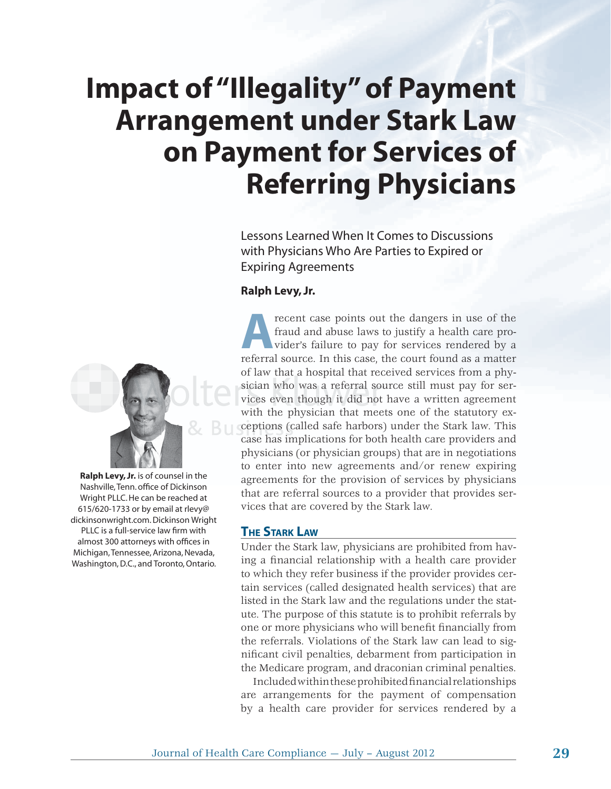# **Impact of "Illegality" of Payment Arrangement under Stark Law on Payment for Services of Referring Physicians**

Lessons Learned When It Comes to Discussions with Physicians Who Are Parties to Expired or Expiring Agreements

#### **Ralph Levy, Jr.**



**Ralph Levy, Jr.** is of counsel in the Nashville, Tenn. office of Dickinson Wright PLLC. He can be reached at 615/620-1733 or by email at rlevy@ dickinsonwright.com. Dickinson Wright PLLC is a full-service law firm with almost 300 attorneys with offices in Michigan, Tennessee, Arizona, Nevada, Washington, D.C., and Toronto, Ontario.

**A**recent case points out the dangers in use of the fraud and abuse laws to justify a health care provider's failure to pay for services rendered by a referral source. In this case, the court found as a matter fraud and abuse laws to justify a health care provider's failure to pay for services rendered by a referral source. In this case, the court found as a matter of law that a hospital that received services from a phy-a sician who was a referral source still must pay for services even though it did not have a written agreement with the physician that meets one of the statutory exceptions (called safe harbors) under the Stark law. This case has implications for both health care providers and h physicians (or physician groups) that are in negotiations to enter into new agreements and/or renew expiring agreements for the provision of services by physicians that are referral sources to a provider that provides services that are covered by the Stark law.

#### **THE STARK LAW**

Under the Stark law, physicians are prohibited from having a financial relationship with a health care provider to which they refer business if the provider provides certain services (called designated health services) that are listed in the Stark law and the regulations under the statute. The purpose of this statute is to prohibit referrals by one or more physicians who will benefit financially from the referrals. Violations of the Stark law can lead to significant civil penalties, debarment from participation in the Medicare program, and draconian criminal penalties.

Included within these prohibited financial relationships are arrangements for the payment of compensation by a health care provider for services rendered by a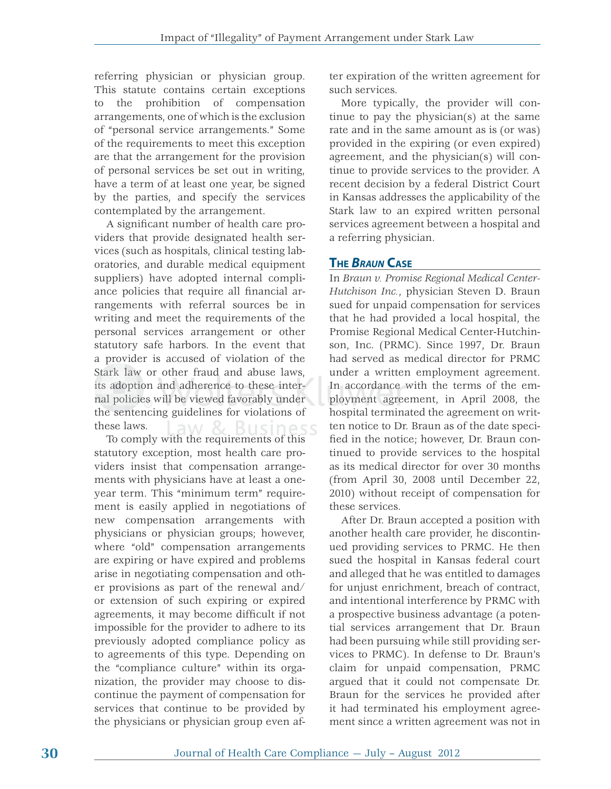referring physician or physician group. This statute contains certain exceptions to the prohibition of compensation arrangements, one of which is the exclusion of "personal service arrangements." Some of the requirements to meet this exception are that the arrangement for the provision of personal services be set out in writing, have a term of at least one year, be signed by the parties, and specify the services contemplated by the arrangement.

A significant number of health care providers that provide designated health services (such as hospitals, clinical testing laboratories, and durable medical equipment suppliers) have adopted internal compliance policies that require all financial arrangements with referral sources be in writing and meet the requirements of the personal services arrangement or other statutory safe harbors. In the event that a provider is accused of violation of the Stark law or other fraud and abuse laws, its adoption and adherence to these internal policies will be viewed favorably under the sentencing guidelines for violations of these laws. **Business** 

To comply with the requirements of this statutory exception, most health care providers insist that compensation arrangements with physicians have at least a oneyear term. This "minimum term" requirement is easily applied in negotiations of new compensation arrangements with physicians or physician groups; however, where "old" compensation arrangements are expiring or have expired and problems arise in negotiating compensation and other provisions as part of the renewal and/ or extension of such expiring or expired agreements, it may become difficult if not impossible for the provider to adhere to its previously adopted compliance policy as to agreements of this type. Depending on the "compliance culture" within its organization, the provider may choose to discontinue the payment of compensation for services that continue to be provided by the physicians or physician group even after expiration of the written agreement for such services.

More typically, the provider will continue to pay the physician(s) at the same rate and in the same amount as is (or was) provided in the expiring (or even expired) agreement, and the physician(s) will continue to provide services to the provider. A recent decision by a federal District Court in Kansas addresses the applicability of the Stark law to an expired written personal services agreement between a hospital and a referring physician.

## **THE** *BRAUN* **CASE**

In *Braun v. Promise Regional Medical Center-Hutchison Inc.*, physician Steven D. Braun sued for unpaid compensation for services that he had provided a local hospital, the Promise Regional Medical Center-Hutchinson, Inc. (PRMC). Since 1997, Dr. Braun had served as medical director for PRMC under a written employment agreement. In accordance with the terms of the em- accord anc e w ployment agreement, in April 2008, the hospital terminated the agreement on written notice to Dr. Braun as of the date specified in the notice; however, Dr. Braun continued to provide services to the hospital as its medical director for over 30 months (from April 30, 2008 until December 22, 2010) without receipt of compensation for these services.

After Dr. Braun accepted a position with another health care provider, he discontinued providing services to PRMC. He then sued the hospital in Kansas federal court and alleged that he was entitled to damages for unjust enrichment, breach of contract, and intentional interference by PRMC with a prospective business advantage (a potential services arrangement that Dr. Braun had been pursuing while still providing services to PRMC). In defense to Dr. Braun's claim for unpaid compensation, PRMC argued that it could not compensate Dr. Braun for the services he provided after it had terminated his employment agreement since a written agreement was not in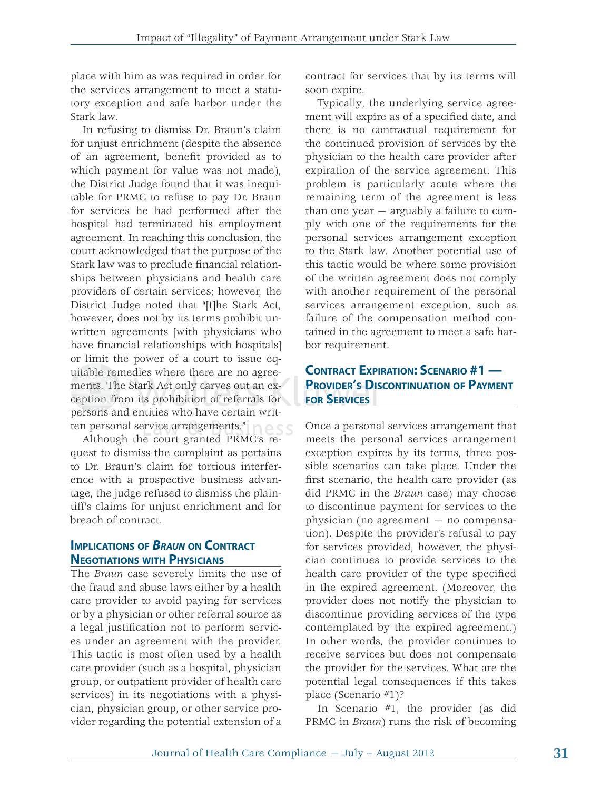place with him as was required in order for the services arrangement to meet a statutory exception and safe harbor under the Stark law.

In refusing to dismiss Dr. Braun's claim for unjust enrichment (despite the absence of an agreement, benefit provided as to which payment for value was not made), the District Judge found that it was inequitable for PRMC to refuse to pay Dr. Braun for services he had performed after the hospital had terminated his employment agreement. In reaching this conclusion, the court acknowledged that the purpose of the Stark law was to preclude financial relationships between physicians and health care providers of certain services; however, the District Judge noted that "[t]he Stark Act, however, does not by its terms prohibit unwritten agreements [with physicians who have financial relationships with hospitals] or limit the power of a court to issue equitable remedies where there are no agreements. The Stark Act only carves out an exments. The Stark Act only carves out an exception from its prohibition of referrals for persons and entities who have certain writments. The Stark Act only carves ou<br>ception from its prohibition of refer<br>persons and entities who have certa<br>ten personal service arrangements."

Although the court granted PRMC's request to dismiss the complaint as pertains to Dr. Braun's claim for tortious interference with a prospective business advantage, the judge refused to dismiss the plaintiff's claims for unjust enrichment and for breach of contract.

#### **IMPLICATIONS OF** *BRAUN* **ON CONTRACT NEGOTIATIONS WITH PHYSICIANS**

The *Braun* case severely limits the use of the fraud and abuse laws either by a health care provider to avoid paying for services or by a physician or other referral source as a legal justification not to perform services under an agreement with the provider. This tactic is most often used by a health care provider (such as a hospital, physician group, or outpatient provider of health care services) in its negotiations with a physician, physician group, or other service provider regarding the potential extension of a contract for services that by its terms will soon expire.

Typically, the underlying service agreement will expire as of a specified date, and there is no contractual requirement for the continued provision of services by the physician to the health care provider after expiration of the service agreement. This problem is particularly acute where the remaining term of the agreement is less than one year — arguably a failure to comply with one of the requirements for the personal services arrangement exception to the Stark law. Another potential use of this tactic would be where some provision of the written agreement does not comply with another requirement of the personal services arrangement exception, such as failure of the compensation method contained in the agreement to meet a safe harbor requirement.

# **CONTRACT EXPIRATION: SCENARIO #1 — PROVIDER'S DISCONTINUATION OF PAYMENT**<br>FOR SERVICES **FOR SERVICES FOR SERV**

Once a personal services arrangement that meets the personal services arrangement exception expires by its terms, three possible scenarios can take place. Under the first scenario, the health care provider (as did PRMC in the *Braun* case) may choose to discontinue payment for services to the physician (no agreement — no compensation). Despite the provider's refusal to pay for services provided, however, the physician continues to provide services to the health care provider of the type specified in the expired agreement. (Moreover, the provider does not notify the physician to discontinue providing services of the type contemplated by the expired agreement.) In other words, the provider continues to receive services but does not compensate the provider for the services. What are the potential legal consequences if this takes place (Scenario #1)?

In Scenario #1, the provider (as did PRMC in *Braun*) runs the risk of becoming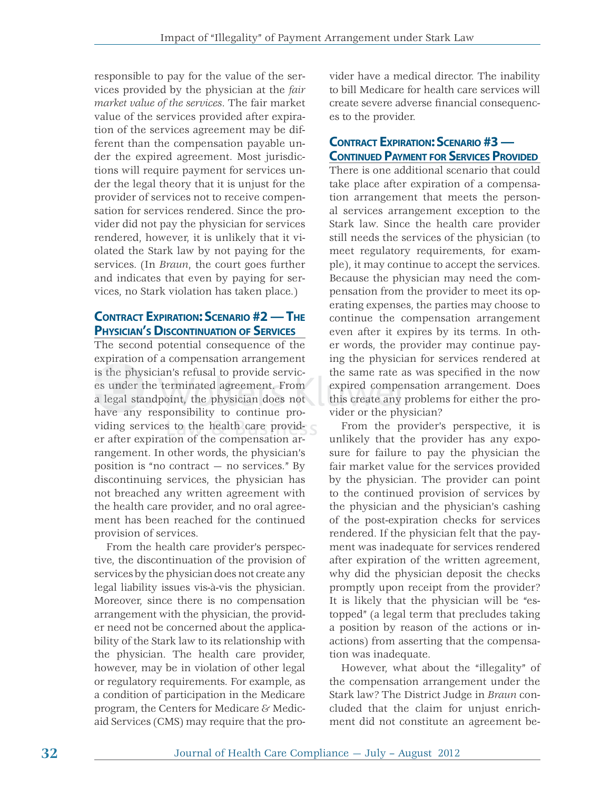responsible to pay for the value of the services provided by the physician at the *fair market value of the services*. The fair market value of the services provided after expiration of the services agreement may be different than the compensation payable under the expired agreement. Most jurisdictions will require payment for services under the legal theory that it is unjust for the provider of services not to receive compensation for services rendered. Since the provider did not pay the physician for services rendered, however, it is unlikely that it violated the Stark law by not paying for the services. (In *Braun*, the court goes further and indicates that even by paying for services, no Stark violation has taken place.)

# **CONTRACT EXPIRATION: SCENARIO #2 — THE PHYSICIAN'S DISCONTINUATION OF SERVICES**

The second potential consequence of the expiration of a compensation arrangement is the physician's refusal to provide servicis the physician's refusal to provide servic-<br>es under the terminated agreement. From a legal standpoint, the physician does not have any responsibility to continue providing services to the health care provider after expiration of the compensation arrangement. In other words, the physician's position is "no contract — no services." By discontinuing services, the physician has not breached any written agreement with the health care provider, and no oral agreement has been reached for the continued provision of services. terminated agree<br>boint, the physic<br>ponsibility to co<br>es to the health ave an

From the health care provider's perspective, the discontinuation of the provision of services by the physician does not create any legal liability issues vis-à-vis the physician. Moreover, since there is no compensation arrangement with the physician, the provider need not be concerned about the applicability of the Stark law to its relationship with the physician. The health care provider, however, may be in violation of other legal or regulatory requirements. For example, as a condition of participation in the Medicare program, the Centers for Medicare & Medicaid Services (CMS) may require that the provider have a medical director. The inability to bill Medicare for health care services will create severe adverse financial consequences to the provider.

# **CONTRACT EXPIRATION: SCENARIO #3 — CONTINUED PAYMENT FOR SERVICES PROVIDED**

There is one additional scenario that could take place after expiration of a compensation arrangement that meets the personal services arrangement exception to the Stark law. Since the health care provider still needs the services of the physician (to meet regulatory requirements, for example), it may continue to accept the services. Because the physician may need the compensation from the provider to meet its operating expenses, the parties may choose to continue the compensation arrangement even after it expires by its terms. In other words, the provider may continue paying the physician for services rendered at the same rate as was specified in the now expired compensation arrangement. Does this create any problems for either the provider or the physician?

From the provider's perspective, it is unlikely that the provider has any exposure for failure to pay the physician the fair market value for the services provided by the physician. The provider can point to the continued provision of services by the physician and the physician's cashing of the post-expiration checks for services rendered. If the physician felt that the payment was inadequate for services rendered after expiration of the written agreement, why did the physician deposit the checks promptly upon receipt from the provider? It is likely that the physician will be "estopped" (a legal term that precludes taking a position by reason of the actions or inactions) from asserting that the compensation was inadequate.

However, what about the "illegality" of the compensation arrangement under the Stark law? The District Judge in *Braun* concluded that the claim for unjust enrichment did not constitute an agreement be-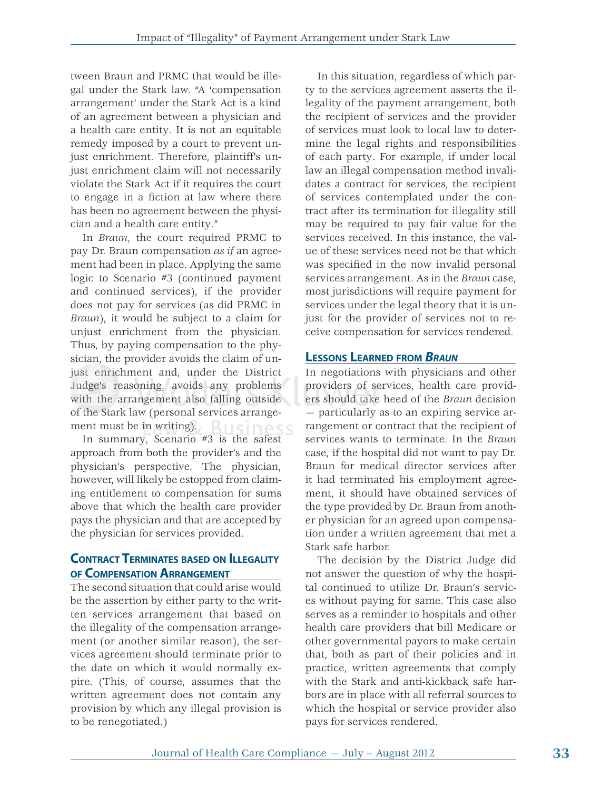tween Braun and PRMC that would be illegal under the Stark law. "A 'compensation arrangement' under the Stark Act is a kind of an agreement between a physician and a health care entity. It is not an equitable remedy imposed by a court to prevent unjust enrichment. Therefore, plaintiff's unjust enrichment claim will not necessarily violate the Stark Act if it requires the court to engage in a fiction at law where there has been no agreement between the physician and a health care entity."

In *Braun*, the court required PRMC to pay Dr. Braun compensation *as if* an agreement had been in place. Applying the same logic to Scenario #3 (continued payment and continued services), if the provider does not pay for services (as did PRMC in *Braun*), it would be subject to a claim for unjust enrichment from the physician. Thus, by paying compensation to the physician, the provider avoids the claim of unjust enrichment and, under the District just enrichment and, under the District<br>Judge's reasoning, avoids any problems with the arrangement also falling outside of the Stark law (personal services arrange-the St ment must be in writing). siness

In summary, Scenario  $#3$  is the safest approach from both the provider's and the physician's perspective. The physician, however, will likely be estopped from claiming entitlement to compensation for sums above that which the health care provider pays the physician and that are accepted by the physician for services provided.

## **CONTRACT TERMINATES BASED ON ILLEGALITY OF COMPENSATION ARRANGEMENT**

The second situation that could arise would be the assertion by either party to the written services arrangement that based on the illegality of the compensation arrangement (or another similar reason), the services agreement should terminate prior to the date on which it would normally expire. (This, of course, assumes that the written agreement does not contain any provision by which any illegal provision is to be renegotiated.)

In this situation, regardless of which party to the services agreement asserts the illegality of the payment arrangement, both the recipient of services and the provider of services must look to local law to determine the legal rights and responsibilities of each party. For example, if under local law an illegal compensation method invalidates a contract for services, the recipient of services contemplated under the contract after its termination for illegality still may be required to pay fair value for the services received. In this instance, the value of these services need not be that which was specified in the now invalid personal services arrangement. As in the *Braun* case, most jurisdictions will require payment for services under the legal theory that it is unjust for the provider of services not to receive compensation for services rendered.

# **LESSONS LEARNED FROM** *BRAUN*

In negotiations with physicians and other providers of services, health care providns providers of services, health care providers should take heed of the *Braun* decision — particularly as to an expiring service arrangement or contract that the recipient of services wants to terminate. In the *Braun* case, if the hospital did not want to pay Dr. Braun for medical director services after it had terminated his employment agreement, it should have obtained services of the type provided by Dr. Braun from another physician for an agreed upon compensation under a written agreement that met a Stark safe harbor.

> The decision by the District Judge did not answer the question of why the hospital continued to utilize Dr. Braun's services without paying for same. This case also serves as a reminder to hospitals and other health care providers that bill Medicare or other governmental payors to make certain that, both as part of their policies and in practice, written agreements that comply with the Stark and anti-kickback safe harbors are in place with all referral sources to which the hospital or service provider also pays for services rendered.